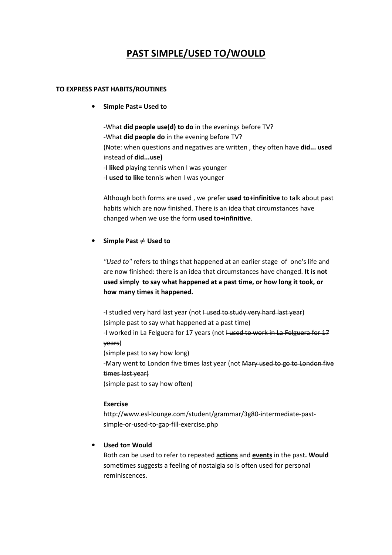# **PAST SIMPLE/USED TO/WOULD**

#### **TO EXPRESS PAST HABITS/ROUTINES**

• **Simple Past= Used to** 

-What **did people use(d) to do** in the evenings before TV? -What **did people do** in the evening before TV? (Note: when questions and negatives are written , they often have **did... used** instead of **did...use)**

- -I **liked** playing tennis when I was younger
- -I **used to like** tennis when I was younger

Although both forms are used , we prefer **used to+infinitive** to talk about past habits which are now finished. There is an idea that circumstances have changed when we use the form **used to+infinitive**.

#### • **Simple Past** ≠ **Used to**

*"Used to"* refers to things that happened at an earlier stage of one's life and are now finished: there is an idea that circumstances have changed. **It is not used simply to say what happened at a past time, or how long it took, or how many times it happened.** 

-I studied very hard last year (not I used to study very hard last year) (simple past to say what happened at a past time) -I worked in La Felguera for 17 years (not I used to work in La Felguera for 17 years) (simple past to say how long)

-Mary went to London five times last year (not Mary used to go to London five times last year)

(simple past to say how often)

#### **Exercise**

http://www.esl-lounge.com/student/grammar/3g80-intermediate-pastsimple-or-used-to-gap-fill-exercise.php

## • **Used to= Would**

Both can be used to refer to repeated **actions** and **events** in the past**. Would**  sometimes suggests a feeling of nostalgia so is often used for personal reminiscences.